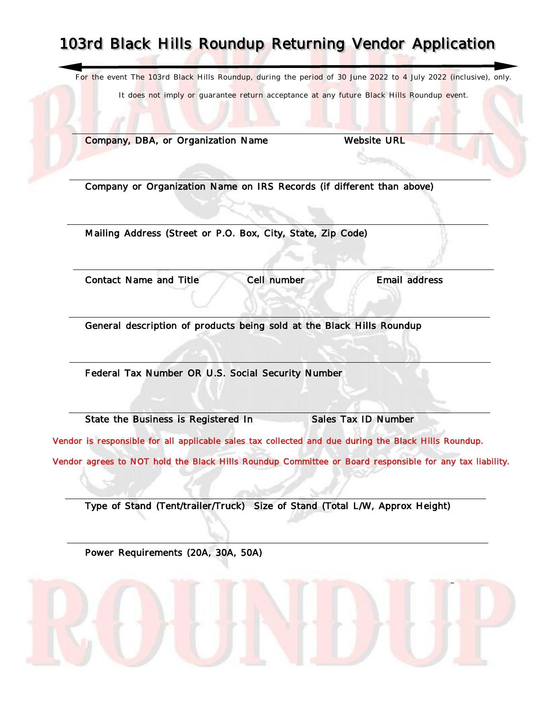## 103rd Black Hills Roundup Returning Vendor Application

For the event The 103rd Black Hills Roundup, during the period of 30 June 2022 to 4 July 2022 (inclusive), only.

It does not imply or quarantee return acceptance at any future Black Hills Roundup event.

Company, DBA, or Organization Name Website URL

Company or Organization Name on IRS Records (if different than above)

Mailing Address (Street or P.O. Box, City, State, Zip Code)

Contact Name and Title Cell number Email address

General description of products being sold at the Black Hills Roundup

Federal Tax Number OR U.S. Social Security Number

State the Business is Registered In Sales Tax ID Number

Vendor is responsible for all applicable sales tax collected and due during the Black Hills Roundup.

Vendor agrees to NOT hold the Black Hills Roundup Committee or Board responsible for any tax liability.

Type of Stand (Tent/trailer/Truck) Size of Stand (Total L/W, Approx Height)

Power Requirements (20A, 30A, 50A)

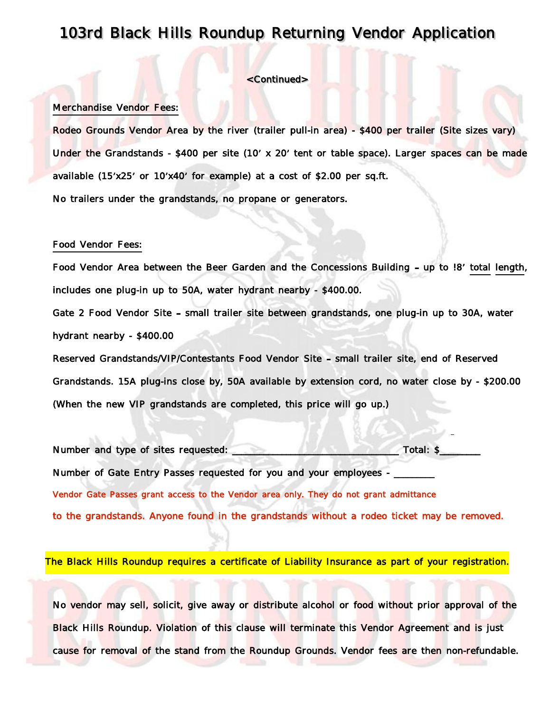### 103rd Black Hills Roundup Returning Vendor Application

#### <Continued>

#### Merchandise Vendor Fees:

Rodeo Grounds Vendor Area by the river (trailer pull-in area) - \$400 per trailer (Site sizes vary) Under the Grandstands - \$400 per site (10' x 20' tent or table space). Larger spaces can be made available (15'x25' or 10'x40' for example) at a cost of \$2.00 per sq.ft. No trailers under the grandstands, no propane or generators.

#### Food Vendor Fees:

Food Vendor Area between the Beer Garden and the Concessions Building - up to !8' total length, includes one plug-in up to 50A, water hydrant nearby - \$400.00.

Gate 2 Food Vendor Site - small trailer site between grandstands, one plug-in up to 30A, water hydrant nearby - \$400.00

Reserved Grandstands/VIP/Contestants Food Vendor Site - small trailer site, end of Reserved Grandstands. 15A plug-ins close by, 50A available by extension cord, no water close by - \$200.00 (When the new VIP grandstands are completed, this price will go up.)

Number and type of sites requested: \_\_\_\_\_\_\_\_\_\_\_\_\_\_\_\_\_\_\_\_\_\_\_\_\_\_\_\_\_\_\_\_\_\_\_\_\_ Total: \$\_\_\_\_\_\_\_\_\_ Number of Gate Entry Passes requested for you and your employees -Vendor Gate Passes grant access to the Vendor area only. They do not grant admittance to the grandstands. Anyone found in the grandstands without a rodeo ticket may be removed.

The Black Hills Roundup requires a certificate of Liability Insurance as part of your registration.

No vendor may sell, solicit, give away or distribute alcohol or food without prior approval of the Black Hills Roundup. Violation of this clause will terminate this Vendor Agreement and is just cause for removal of the stand from the Roundup Grounds. Vendor fees are then non-refundable.